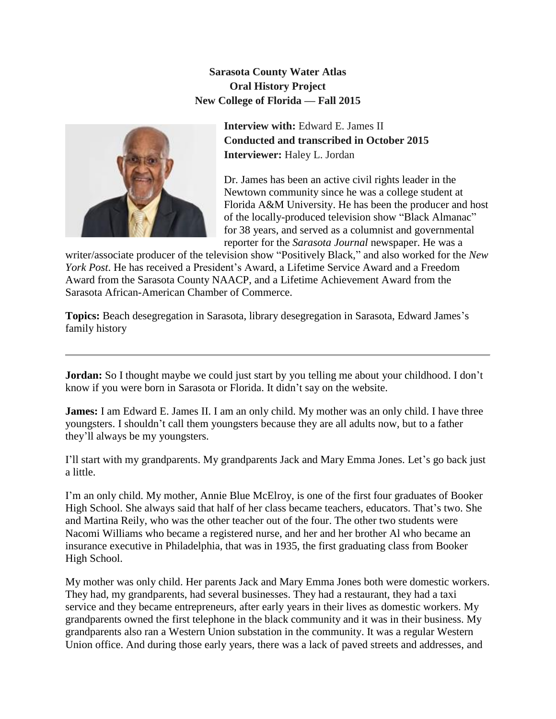**Sarasota County Water Atlas Oral History Project New College of Florida — Fall 2015**



**Interview with:** Edward E. James II **Conducted and transcribed in October 2015 Interviewer:** Haley L. Jordan

Dr. James has been an active civil rights leader in the Newtown community since he was a college student at Florida A&M University. He has been the producer and host of the locally-produced television show "Black Almanac" for 38 years, and served as a columnist and governmental reporter for the *Sarasota Journal* newspaper. He was a

writer/associate producer of the television show "Positively Black," and also worked for the *New York Post*. He has received a President's Award, a Lifetime Service Award and a Freedom Award from the Sarasota County NAACP, and a Lifetime Achievement Award from the Sarasota African-American Chamber of Commerce.

**Topics:** Beach desegregation in Sarasota, library desegregation in Sarasota, Edward James's family history

**Jordan:** So I thought maybe we could just start by you telling me about your childhood. I don't know if you were born in Sarasota or Florida. It didn't say on the website.

**James:** I am Edward E. James II. I am an only child. My mother was an only child. I have three youngsters. I shouldn't call them youngsters because they are all adults now, but to a father they'll always be my youngsters.

I'll start with my grandparents. My grandparents Jack and Mary Emma Jones. Let's go back just a little.

I'm an only child. My mother, Annie Blue McElroy, is one of the first four graduates of Booker High School. She always said that half of her class became teachers, educators. That's two. She and Martina Reily, who was the other teacher out of the four. The other two students were Nacomi Williams who became a registered nurse, and her and her brother Al who became an insurance executive in Philadelphia, that was in 1935, the first graduating class from Booker High School.

My mother was only child. Her parents Jack and Mary Emma Jones both were domestic workers. They had, my grandparents, had several businesses. They had a restaurant, they had a taxi service and they became entrepreneurs, after early years in their lives as domestic workers. My grandparents owned the first telephone in the black community and it was in their business. My grandparents also ran a Western Union substation in the community. It was a regular Western Union office. And during those early years, there was a lack of paved streets and addresses, and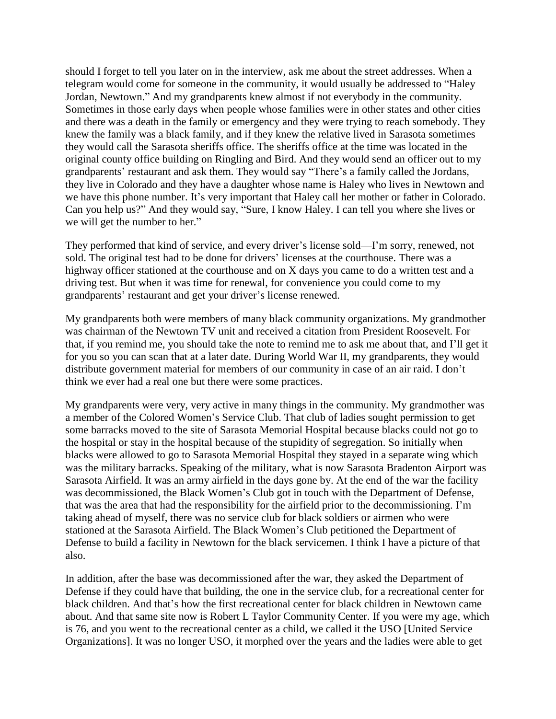should I forget to tell you later on in the interview, ask me about the street addresses. When a telegram would come for someone in the community, it would usually be addressed to "Haley Jordan, Newtown." And my grandparents knew almost if not everybody in the community. Sometimes in those early days when people whose families were in other states and other cities and there was a death in the family or emergency and they were trying to reach somebody. They knew the family was a black family, and if they knew the relative lived in Sarasota sometimes they would call the Sarasota sheriffs office. The sheriffs office at the time was located in the original county office building on Ringling and Bird. And they would send an officer out to my grandparents' restaurant and ask them. They would say "There's a family called the Jordans, they live in Colorado and they have a daughter whose name is Haley who lives in Newtown and we have this phone number. It's very important that Haley call her mother or father in Colorado. Can you help us?" And they would say, "Sure, I know Haley. I can tell you where she lives or we will get the number to her."

They performed that kind of service, and every driver's license sold—I'm sorry, renewed, not sold. The original test had to be done for drivers' licenses at the courthouse. There was a highway officer stationed at the courthouse and on X days you came to do a written test and a driving test. But when it was time for renewal, for convenience you could come to my grandparents' restaurant and get your driver's license renewed.

My grandparents both were members of many black community organizations. My grandmother was chairman of the Newtown TV unit and received a citation from President Roosevelt. For that, if you remind me, you should take the note to remind me to ask me about that, and I'll get it for you so you can scan that at a later date. During World War II, my grandparents, they would distribute government material for members of our community in case of an air raid. I don't think we ever had a real one but there were some practices.

My grandparents were very, very active in many things in the community. My grandmother was a member of the Colored Women's Service Club. That club of ladies sought permission to get some barracks moved to the site of Sarasota Memorial Hospital because blacks could not go to the hospital or stay in the hospital because of the stupidity of segregation. So initially when blacks were allowed to go to Sarasota Memorial Hospital they stayed in a separate wing which was the military barracks. Speaking of the military, what is now Sarasota Bradenton Airport was Sarasota Airfield. It was an army airfield in the days gone by. At the end of the war the facility was decommissioned, the Black Women's Club got in touch with the Department of Defense, that was the area that had the responsibility for the airfield prior to the decommissioning. I'm taking ahead of myself, there was no service club for black soldiers or airmen who were stationed at the Sarasota Airfield. The Black Women's Club petitioned the Department of Defense to build a facility in Newtown for the black servicemen. I think I have a picture of that also.

In addition, after the base was decommissioned after the war, they asked the Department of Defense if they could have that building, the one in the service club, for a recreational center for black children. And that's how the first recreational center for black children in Newtown came about. And that same site now is Robert L Taylor Community Center. If you were my age, which is 76, and you went to the recreational center as a child, we called it the USO [United Service Organizations]. It was no longer USO, it morphed over the years and the ladies were able to get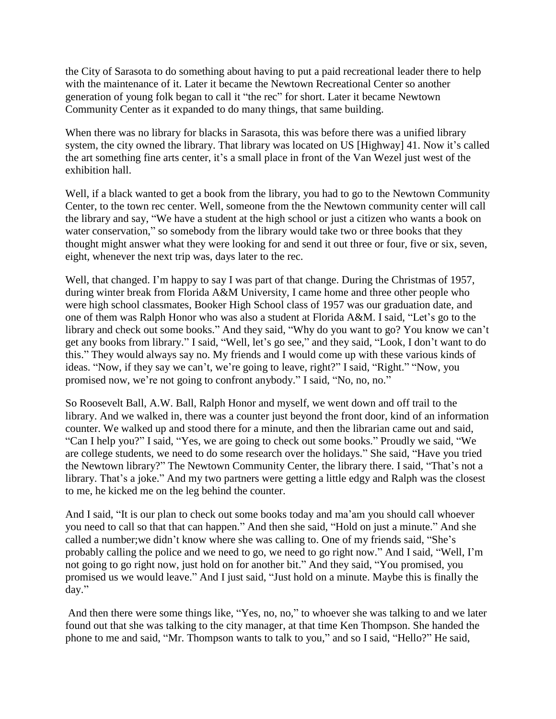the City of Sarasota to do something about having to put a paid recreational leader there to help with the maintenance of it. Later it became the Newtown Recreational Center so another generation of young folk began to call it "the rec" for short. Later it became Newtown Community Center as it expanded to do many things, that same building.

When there was no library for blacks in Sarasota, this was before there was a unified library system, the city owned the library. That library was located on US [Highway] 41. Now it's called the art something fine arts center, it's a small place in front of the Van Wezel just west of the exhibition hall.

Well, if a black wanted to get a book from the library, you had to go to the Newtown Community Center, to the town rec center. Well, someone from the the Newtown community center will call the library and say, "We have a student at the high school or just a citizen who wants a book on water conservation," so somebody from the library would take two or three books that they thought might answer what they were looking for and send it out three or four, five or six, seven, eight, whenever the next trip was, days later to the rec.

Well, that changed. I'm happy to say I was part of that change. During the Christmas of 1957, during winter break from Florida A&M University, I came home and three other people who were high school classmates, Booker High School class of 1957 was our graduation date, and one of them was Ralph Honor who was also a student at Florida A&M. I said, "Let's go to the library and check out some books." And they said, "Why do you want to go? You know we can't get any books from library." I said, "Well, let's go see," and they said, "Look, I don't want to do this." They would always say no. My friends and I would come up with these various kinds of ideas. "Now, if they say we can't, we're going to leave, right?" I said, "Right." "Now, you promised now, we're not going to confront anybody." I said, "No, no, no."

So Roosevelt Ball, A.W. Ball, Ralph Honor and myself, we went down and off trail to the library. And we walked in, there was a counter just beyond the front door, kind of an information counter. We walked up and stood there for a minute, and then the librarian came out and said, "Can I help you?" I said, "Yes, we are going to check out some books." Proudly we said, "We are college students, we need to do some research over the holidays." She said, "Have you tried the Newtown library?" The Newtown Community Center, the library there. I said, "That's not a library. That's a joke." And my two partners were getting a little edgy and Ralph was the closest to me, he kicked me on the leg behind the counter.

And I said, "It is our plan to check out some books today and ma'am you should call whoever you need to call so that that can happen." And then she said, "Hold on just a minute." And she called a number;we didn't know where she was calling to. One of my friends said, "She's probably calling the police and we need to go, we need to go right now." And I said, "Well, I'm not going to go right now, just hold on for another bit." And they said, "You promised, you promised us we would leave." And I just said, "Just hold on a minute. Maybe this is finally the day."

And then there were some things like, "Yes, no, no," to whoever she was talking to and we later found out that she was talking to the city manager, at that time Ken Thompson. She handed the phone to me and said, "Mr. Thompson wants to talk to you," and so I said, "Hello?" He said,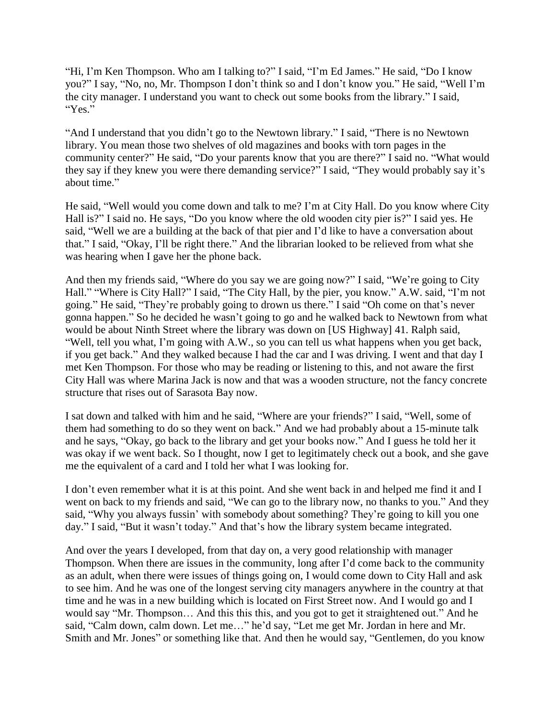"Hi, I'm Ken Thompson. Who am I talking to?" I said, "I'm Ed James." He said, "Do I know you?" I say, "No, no, Mr. Thompson I don't think so and I don't know you." He said, "Well I'm the city manager. I understand you want to check out some books from the library." I said, "Yes."

"And I understand that you didn't go to the Newtown library." I said, "There is no Newtown library. You mean those two shelves of old magazines and books with torn pages in the community center?" He said, "Do your parents know that you are there?" I said no. "What would they say if they knew you were there demanding service?" I said, "They would probably say it's about time."

He said, "Well would you come down and talk to me? I'm at City Hall. Do you know where City Hall is?" I said no. He says, "Do you know where the old wooden city pier is?" I said yes. He said, "Well we are a building at the back of that pier and I'd like to have a conversation about that." I said, "Okay, I'll be right there." And the librarian looked to be relieved from what she was hearing when I gave her the phone back.

And then my friends said, "Where do you say we are going now?" I said, "We're going to City Hall." "Where is City Hall?" I said, "The City Hall, by the pier, you know." A.W. said, "I'm not going." He said, "They're probably going to drown us there." I said "Oh come on that's never gonna happen." So he decided he wasn't going to go and he walked back to Newtown from what would be about Ninth Street where the library was down on [US Highway] 41. Ralph said, "Well, tell you what, I'm going with A.W., so you can tell us what happens when you get back, if you get back." And they walked because I had the car and I was driving. I went and that day I met Ken Thompson. For those who may be reading or listening to this, and not aware the first City Hall was where Marina Jack is now and that was a wooden structure, not the fancy concrete structure that rises out of Sarasota Bay now.

I sat down and talked with him and he said, "Where are your friends?" I said, "Well, some of them had something to do so they went on back." And we had probably about a 15-minute talk and he says, "Okay, go back to the library and get your books now." And I guess he told her it was okay if we went back. So I thought, now I get to legitimately check out a book, and she gave me the equivalent of a card and I told her what I was looking for.

I don't even remember what it is at this point. And she went back in and helped me find it and I went on back to my friends and said, "We can go to the library now, no thanks to you." And they said, "Why you always fussin' with somebody about something? They're going to kill you one day." I said, "But it wasn't today." And that's how the library system became integrated.

And over the years I developed, from that day on, a very good relationship with manager Thompson. When there are issues in the community, long after I'd come back to the community as an adult, when there were issues of things going on, I would come down to City Hall and ask to see him. And he was one of the longest serving city managers anywhere in the country at that time and he was in a new building which is located on First Street now. And I would go and I would say "Mr. Thompson… And this this this, and you got to get it straightened out." And he said, "Calm down, calm down. Let me…" he'd say, "Let me get Mr. Jordan in here and Mr. Smith and Mr. Jones" or something like that. And then he would say, "Gentlemen, do you know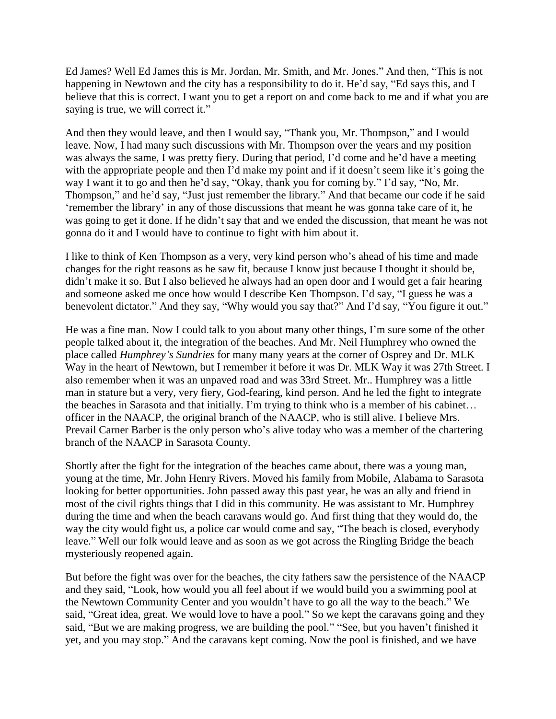Ed James? Well Ed James this is Mr. Jordan, Mr. Smith, and Mr. Jones." And then, "This is not happening in Newtown and the city has a responsibility to do it. He'd say, "Ed says this, and I believe that this is correct. I want you to get a report on and come back to me and if what you are saying is true, we will correct it."

And then they would leave, and then I would say, "Thank you, Mr. Thompson," and I would leave. Now, I had many such discussions with Mr. Thompson over the years and my position was always the same, I was pretty fiery. During that period, I'd come and he'd have a meeting with the appropriate people and then I'd make my point and if it doesn't seem like it's going the way I want it to go and then he'd say, "Okay, thank you for coming by." I'd say, "No, Mr. Thompson," and he'd say, "Just just remember the library." And that became our code if he said 'remember the library' in any of those discussions that meant he was gonna take care of it, he was going to get it done. If he didn't say that and we ended the discussion, that meant he was not gonna do it and I would have to continue to fight with him about it.

I like to think of Ken Thompson as a very, very kind person who's ahead of his time and made changes for the right reasons as he saw fit, because I know just because I thought it should be, didn't make it so. But I also believed he always had an open door and I would get a fair hearing and someone asked me once how would I describe Ken Thompson. I'd say, "I guess he was a benevolent dictator." And they say, "Why would you say that?" And I'd say, "You figure it out."

He was a fine man. Now I could talk to you about many other things, I'm sure some of the other people talked about it, the integration of the beaches. And Mr. Neil Humphrey who owned the place called *Humphrey's Sundries* for many many years at the corner of Osprey and Dr. MLK Way in the heart of Newtown, but I remember it before it was Dr. MLK Way it was 27th Street. I also remember when it was an unpaved road and was 33rd Street. Mr.. Humphrey was a little man in stature but a very, very fiery, God-fearing, kind person. And he led the fight to integrate the beaches in Sarasota and that initially. I'm trying to think who is a member of his cabinet… officer in the NAACP, the original branch of the NAACP, who is still alive. I believe Mrs. Prevail Carner Barber is the only person who's alive today who was a member of the chartering branch of the NAACP in Sarasota County.

Shortly after the fight for the integration of the beaches came about, there was a young man, young at the time, Mr. John Henry Rivers. Moved his family from Mobile, Alabama to Sarasota looking for better opportunities. John passed away this past year, he was an ally and friend in most of the civil rights things that I did in this community. He was assistant to Mr. Humphrey during the time and when the beach caravans would go. And first thing that they would do, the way the city would fight us, a police car would come and say, "The beach is closed, everybody leave." Well our folk would leave and as soon as we got across the Ringling Bridge the beach mysteriously reopened again.

But before the fight was over for the beaches, the city fathers saw the persistence of the NAACP and they said, "Look, how would you all feel about if we would build you a swimming pool at the Newtown Community Center and you wouldn't have to go all the way to the beach." We said, "Great idea, great. We would love to have a pool." So we kept the caravans going and they said, "But we are making progress, we are building the pool." "See, but you haven't finished it yet, and you may stop." And the caravans kept coming. Now the pool is finished, and we have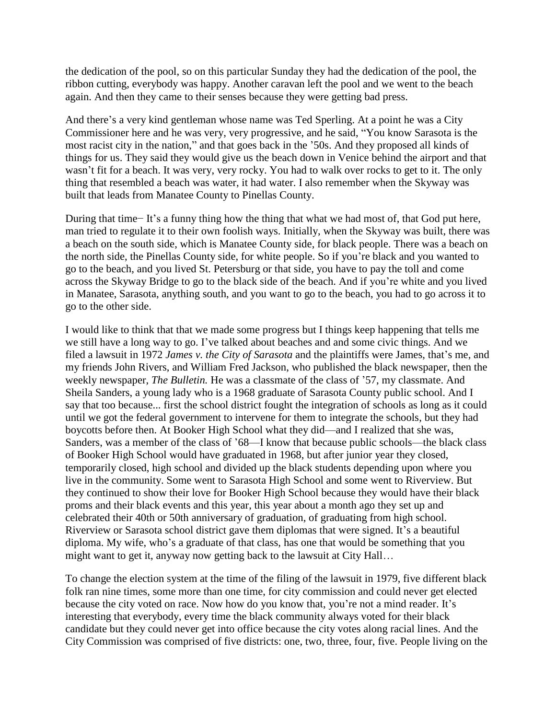the dedication of the pool, so on this particular Sunday they had the dedication of the pool, the ribbon cutting, everybody was happy. Another caravan left the pool and we went to the beach again. And then they came to their senses because they were getting bad press.

And there's a very kind gentleman whose name was Ted Sperling. At a point he was a City Commissioner here and he was very, very progressive, and he said, "You know Sarasota is the most racist city in the nation," and that goes back in the '50s. And they proposed all kinds of things for us. They said they would give us the beach down in Venice behind the airport and that wasn't fit for a beach. It was very, very rocky. You had to walk over rocks to get to it. The only thing that resembled a beach was water, it had water. I also remember when the Skyway was built that leads from Manatee County to Pinellas County.

During that time− It's a funny thing how the thing that what we had most of, that God put here, man tried to regulate it to their own foolish ways. Initially, when the Skyway was built, there was a beach on the south side, which is Manatee County side, for black people. There was a beach on the north side, the Pinellas County side, for white people. So if you're black and you wanted to go to the beach, and you lived St. Petersburg or that side, you have to pay the toll and come across the Skyway Bridge to go to the black side of the beach. And if you're white and you lived in Manatee, Sarasota, anything south, and you want to go to the beach, you had to go across it to go to the other side.

I would like to think that that we made some progress but I things keep happening that tells me we still have a long way to go. I've talked about beaches and and some civic things. And we filed a lawsuit in 1972 *James v. the City of Sarasota* and the plaintiffs were James, that's me, and my friends John Rivers, and William Fred Jackson, who published the black newspaper, then the weekly newspaper, *The Bulletin.* He was a classmate of the class of '57, my classmate. And Sheila Sanders, a young lady who is a 1968 graduate of Sarasota County public school. And I say that too because... first the school district fought the integration of schools as long as it could until we got the federal government to intervene for them to integrate the schools, but they had boycotts before then. At Booker High School what they did—and I realized that she was, Sanders, was a member of the class of '68—I know that because public schools—the black class of Booker High School would have graduated in 1968, but after junior year they closed, temporarily closed, high school and divided up the black students depending upon where you live in the community. Some went to Sarasota High School and some went to Riverview. But they continued to show their love for Booker High School because they would have their black proms and their black events and this year, this year about a month ago they set up and celebrated their 40th or 50th anniversary of graduation, of graduating from high school. Riverview or Sarasota school district gave them diplomas that were signed. It's a beautiful diploma. My wife, who's a graduate of that class, has one that would be something that you might want to get it, anyway now getting back to the lawsuit at City Hall…

To change the election system at the time of the filing of the lawsuit in 1979, five different black folk ran nine times, some more than one time, for city commission and could never get elected because the city voted on race. Now how do you know that, you're not a mind reader. It's interesting that everybody, every time the black community always voted for their black candidate but they could never get into office because the city votes along racial lines. And the City Commission was comprised of five districts: one, two, three, four, five. People living on the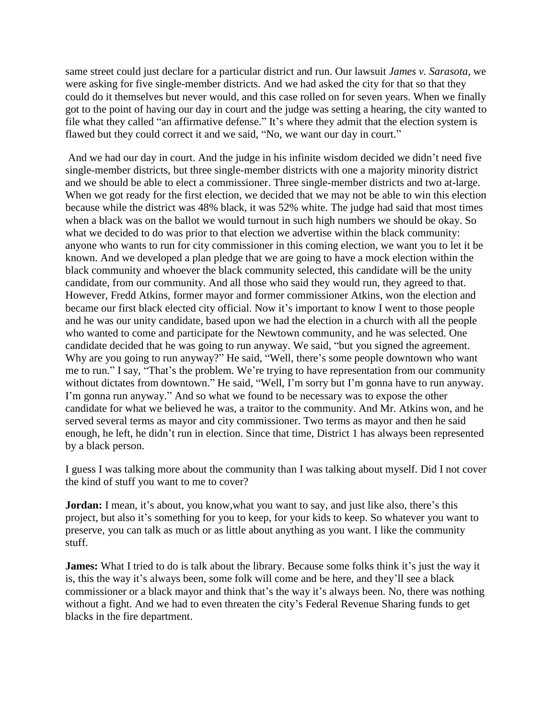same street could just declare for a particular district and run. Our lawsuit *James v. Sarasota*, we were asking for five single-member districts. And we had asked the city for that so that they could do it themselves but never would, and this case rolled on for seven years. When we finally got to the point of having our day in court and the judge was setting a hearing, the city wanted to file what they called "an affirmative defense." It's where they admit that the election system is flawed but they could correct it and we said, "No, we want our day in court."

And we had our day in court. And the judge in his infinite wisdom decided we didn't need five single-member districts, but three single-member districts with one a majority minority district and we should be able to elect a commissioner. Three single-member districts and two at-large. When we got ready for the first election, we decided that we may not be able to win this election because while the district was 48% black, it was 52% white. The judge had said that most times when a black was on the ballot we would turnout in such high numbers we should be okay. So what we decided to do was prior to that election we advertise within the black community: anyone who wants to run for city commissioner in this coming election, we want you to let it be known. And we developed a plan pledge that we are going to have a mock election within the black community and whoever the black community selected, this candidate will be the unity candidate, from our community. And all those who said they would run, they agreed to that. However, Fredd Atkins, former mayor and former commissioner Atkins, won the election and became our first black elected city official. Now it's important to know I went to those people and he was our unity candidate, based upon we had the election in a church with all the people who wanted to come and participate for the Newtown community, and he was selected. One candidate decided that he was going to run anyway. We said, "but you signed the agreement. Why are you going to run anyway?" He said, "Well, there's some people downtown who want me to run." I say, "That's the problem. We're trying to have representation from our community without dictates from downtown." He said, "Well, I'm sorry but I'm gonna have to run anyway. I'm gonna run anyway." And so what we found to be necessary was to expose the other candidate for what we believed he was, a traitor to the community. And Mr. Atkins won, and he served several terms as mayor and city commissioner. Two terms as mayor and then he said enough, he left, he didn't run in election. Since that time, District 1 has always been represented by a black person.

I guess I was talking more about the community than I was talking about myself. Did I not cover the kind of stuff you want to me to cover?

**Jordan:** I mean, it's about, you know, what you want to say, and just like also, there's this project, but also it's something for you to keep, for your kids to keep. So whatever you want to preserve, you can talk as much or as little about anything as you want. I like the community stuff.

**James:** What I tried to do is talk about the library. Because some folks think it's just the way it is, this the way it's always been, some folk will come and be here, and they'll see a black commissioner or a black mayor and think that's the way it's always been. No, there was nothing without a fight. And we had to even threaten the city's Federal Revenue Sharing funds to get blacks in the fire department.